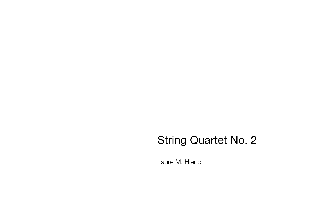## String Quartet No. 2

Laure M. Hiendl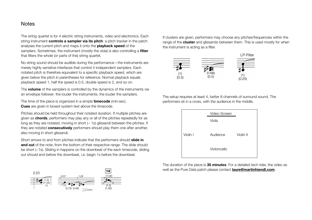## **Notes**

The string quartet is for 4 electric string instruments, video and electronics. Each string instrument **controls a sampler via its pitch**: a pitch tracker in the patch analyses the current pitch and maps it onto the **playback speed** of the samplers. Sometimes, the instrument (mostly the viola) is also controlling a **filter** that filters the whole (or parts of the) string quartet.

No string sound should be audible during the performance—the instruments are merely highly sensitive interfaces that control 4 independent samplers. Each notated pitch is therefore equivalent to a specific playback speed, which are given below the pitch in parentheses for reference. Normal playback equals playback speed 1, half the speed is 0.5, double speed is 2, and so on.

The **volume** of the samplers is controlled by the dynamics of the instruments via an envelope follower: the louder the instruments, the louder the samplers.

The time of the piece is organized in a simple **timecode** (min:sec). **Cues** are given in boxed system text above the timecode.

Pitches should be held throughout their notated duration. If multiple pitches are given as **chords**, performers may play any or all of the pitches repeatedly for as long as they are notated, moving in short  $(-1s)$  glissandi between the pitches. If they are notated **consecutively** performers should play them one after another, also moving in short glissandi.

Short arrows to and from pitches indicate that the performers should **slide in and out** of the note, from the bottom of their respective range. The slide should be short (~1s). Sliding in happens on the downbeat of the each timecode, sliding out should end before the downbeat, i.e. begin 1s before the downbeat.



If clusters are given, performers may choose any pitches/frequencies within the range of the **cluster** and glissando between them. This is used mostly for when the instrument is acting as a filter.



The setup requires at least 4, better 8 channels of surround sound. The performers sit in a cross, with the audience in the middle.



The duration of the piece is **35 minutes**. For a detailed tech rider, the video as well as the Pure Data patch please contact **[laure@martinhiendl.com](mailto:laure@martinhiendl.com)**.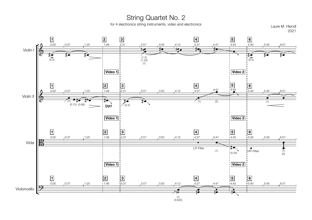for 4 electronics string instruments, video and electronics String Quartet No. 2